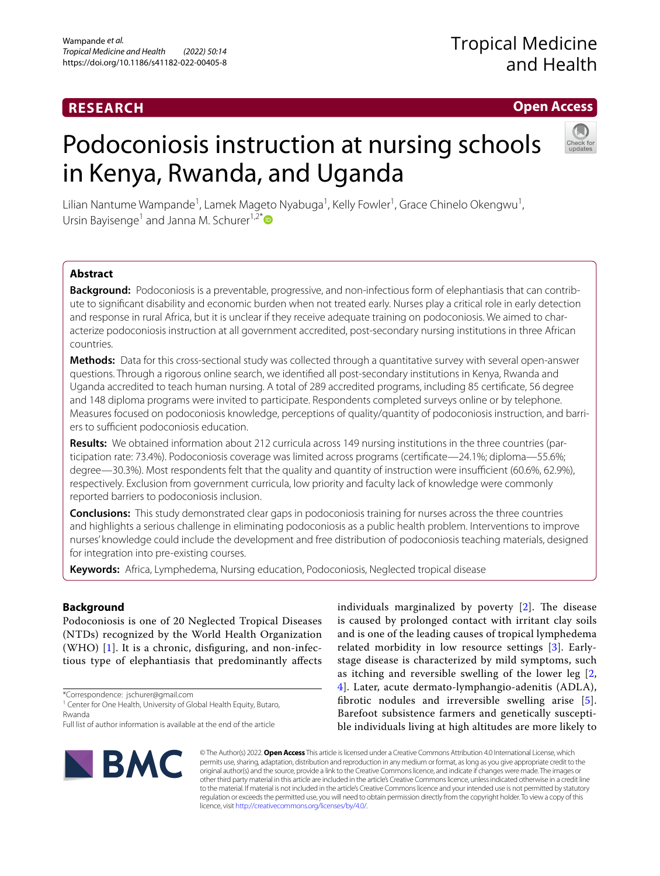## **RESEARCH**

## **Open Access**

# Podoconiosis instruction at nursing schools in Kenya, Rwanda, and Uganda



Lilian Nantume Wampande<sup>1</sup>, Lamek Mageto Nyabuga<sup>1</sup>, Kelly Fowler<sup>1</sup>, Grace Chinelo Okengwu<sup>1</sup>, Ursin Bayisenge<sup>1</sup> and Janna M. Schurer<sup>1,2[\\*](http://orcid.org/0000-0001-6122-5332)</sup>

## **Abstract**

**Background:** Podoconiosis is a preventable, progressive, and non-infectious form of elephantiasis that can contribute to signifcant disability and economic burden when not treated early. Nurses play a critical role in early detection and response in rural Africa, but it is unclear if they receive adequate training on podoconiosis. We aimed to characterize podoconiosis instruction at all government accredited, post-secondary nursing institutions in three African countries.

**Methods:** Data for this cross-sectional study was collected through a quantitative survey with several open-answer questions. Through a rigorous online search, we identifed all post-secondary institutions in Kenya, Rwanda and Uganda accredited to teach human nursing. A total of 289 accredited programs, including 85 certifcate, 56 degree and 148 diploma programs were invited to participate. Respondents completed surveys online or by telephone. Measures focused on podoconiosis knowledge, perceptions of quality/quantity of podoconiosis instruction, and barriers to sufficient podoconiosis education.

**Results:** We obtained information about 212 curricula across 149 nursing institutions in the three countries (participation rate: 73.4%). Podoconiosis coverage was limited across programs (certificate—24.1%; diploma—55.6%; degree—30.3%). Most respondents felt that the quality and quantity of instruction were insufficient (60.6%, 62.9%), respectively. Exclusion from government curricula, low priority and faculty lack of knowledge were commonly reported barriers to podoconiosis inclusion.

**Conclusions:** This study demonstrated clear gaps in podoconiosis training for nurses across the three countries and highlights a serious challenge in eliminating podoconiosis as a public health problem. Interventions to improve nurses' knowledge could include the development and free distribution of podoconiosis teaching materials, designed for integration into pre-existing courses.

**Keywords:** Africa, Lymphedema, Nursing education, Podoconiosis, Neglected tropical disease

## **Background**

Podoconiosis is one of 20 Neglected Tropical Diseases (NTDs) recognized by the World Health Organization (WHO)  $[1]$  $[1]$  $[1]$ . It is a chronic, disfiguring, and non-infectious type of elephantiasis that predominantly afects

\*Correspondence: jschurer@gmail.com

<sup>1</sup> Center for One Health, University of Global Health Equity, Butaro, Rwanda

individuals marginalized by poverty  $[2]$  $[2]$ . The disease is caused by prolonged contact with irritant clay soils and is one of the leading causes of tropical lymphedema related morbidity in low resource settings [[3](#page-9-2)]. Earlystage disease is characterized by mild symptoms, such as itching and reversible swelling of the lower leg [\[2](#page-9-1), [4\]](#page-9-3). Later, acute dermato-lymphangio-adenitis (ADLA), fbrotic nodules and irreversible swelling arise [[5](#page-9-4)]. Barefoot subsistence farmers and genetically susceptible individuals living at high altitudes are more likely to



© The Author(s) 2022. **Open Access** This article is licensed under a Creative Commons Attribution 4.0 International License, which permits use, sharing, adaptation, distribution and reproduction in any medium or format, as long as you give appropriate credit to the original author(s) and the source, provide a link to the Creative Commons licence, and indicate if changes were made. The images or other third party material in this article are included in the article's Creative Commons licence, unless indicated otherwise in a credit line to the material. If material is not included in the article's Creative Commons licence and your intended use is not permitted by statutory regulation or exceeds the permitted use, you will need to obtain permission directly from the copyright holder. To view a copy of this licence, visit [http://creativecommons.org/licenses/by/4.0/.](http://creativecommons.org/licenses/by/4.0/)

Full list of author information is available at the end of the article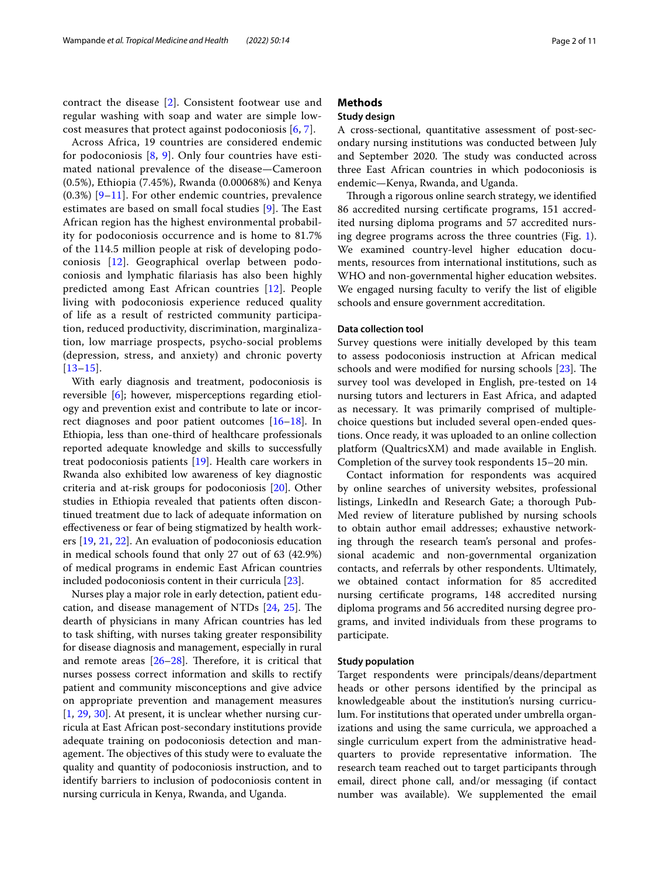contract the disease [\[2](#page-9-1)]. Consistent footwear use and regular washing with soap and water are simple lowcost measures that protect against podoconiosis [[6,](#page-9-5) [7](#page-9-6)].

Across Africa, 19 countries are considered endemic for podoconiosis  $[8, 9]$  $[8, 9]$  $[8, 9]$  $[8, 9]$ . Only four countries have estimated national prevalence of the disease—Cameroon (0.5%), Ethiopia (7.45%), Rwanda (0.00068%) and Kenya  $(0.3%)$  [[9](#page-9-8)[–11](#page-9-9)]. For other endemic countries, prevalence estimates are based on small focal studies  $[9]$ . The East African region has the highest environmental probability for podoconiosis occurrence and is home to 81.7% of the 114.5 million people at risk of developing podoconiosis [[12\]](#page-9-10). Geographical overlap between podoconiosis and lymphatic flariasis has also been highly predicted among East African countries [[12](#page-9-10)]. People living with podoconiosis experience reduced quality of life as a result of restricted community participation, reduced productivity, discrimination, marginalization, low marriage prospects, psycho-social problems (depression, stress, and anxiety) and chronic poverty [[13](#page-9-11)[–15](#page-9-12)].

With early diagnosis and treatment, podoconiosis is reversible [[6\]](#page-9-5); however, misperceptions regarding etiology and prevention exist and contribute to late or incorrect diagnoses and poor patient outcomes [\[16](#page-9-13)[–18\]](#page-9-14). In Ethiopia, less than one-third of healthcare professionals reported adequate knowledge and skills to successfully treat podoconiosis patients [\[19\]](#page-9-15). Health care workers in Rwanda also exhibited low awareness of key diagnostic criteria and at-risk groups for podoconiosis [[20\]](#page-9-16). Other studies in Ethiopia revealed that patients often discontinued treatment due to lack of adequate information on efectiveness or fear of being stigmatized by health workers [[19](#page-9-15), [21](#page-9-17), [22\]](#page-9-18). An evaluation of podoconiosis education in medical schools found that only 27 out of 63 (42.9%) of medical programs in endemic East African countries included podoconiosis content in their curricula [\[23\]](#page-9-19).

Nurses play a major role in early detection, patient education, and disease management of NTDs  $[24, 25]$  $[24, 25]$  $[24, 25]$  $[24, 25]$ . The dearth of physicians in many African countries has led to task shifting, with nurses taking greater responsibility for disease diagnosis and management, especially in rural and remote areas  $[26-28]$  $[26-28]$  $[26-28]$ . Therefore, it is critical that nurses possess correct information and skills to rectify patient and community misconceptions and give advice on appropriate prevention and management measures [[1,](#page-9-0) [29,](#page-9-24) [30\]](#page-9-25). At present, it is unclear whether nursing curricula at East African post-secondary institutions provide adequate training on podoconiosis detection and management. The objectives of this study were to evaluate the quality and quantity of podoconiosis instruction, and to identify barriers to inclusion of podoconiosis content in nursing curricula in Kenya, Rwanda, and Uganda.

### **Methods**

#### **Study design**

A cross-sectional, quantitative assessment of post-secondary nursing institutions was conducted between July and September 2020. The study was conducted across three East African countries in which podoconiosis is endemic—Kenya, Rwanda, and Uganda.

Through a rigorous online search strategy, we identified 86 accredited nursing certifcate programs, 151 accredited nursing diploma programs and 57 accredited nursing degree programs across the three countries (Fig. [1](#page-2-0)). We examined country-level higher education documents, resources from international institutions, such as WHO and non-governmental higher education websites. We engaged nursing faculty to verify the list of eligible schools and ensure government accreditation.

#### **Data collection tool**

Survey questions were initially developed by this team to assess podoconiosis instruction at African medical schools and were modified for nursing schools  $[23]$  $[23]$ . The survey tool was developed in English, pre-tested on 14 nursing tutors and lecturers in East Africa, and adapted as necessary. It was primarily comprised of multiplechoice questions but included several open-ended questions. Once ready, it was uploaded to an online collection platform (QualtricsXM) and made available in English. Completion of the survey took respondents 15–20 min.

Contact information for respondents was acquired by online searches of university websites, professional listings, LinkedIn and Research Gate; a thorough Pub-Med review of literature published by nursing schools to obtain author email addresses; exhaustive networking through the research team's personal and professional academic and non-governmental organization contacts, and referrals by other respondents. Ultimately, we obtained contact information for 85 accredited nursing certifcate programs, 148 accredited nursing diploma programs and 56 accredited nursing degree programs, and invited individuals from these programs to participate.

#### **Study population**

Target respondents were principals/deans/department heads or other persons identifed by the principal as knowledgeable about the institution's nursing curriculum. For institutions that operated under umbrella organizations and using the same curricula, we approached a single curriculum expert from the administrative headquarters to provide representative information. The research team reached out to target participants through email, direct phone call, and/or messaging (if contact number was available). We supplemented the email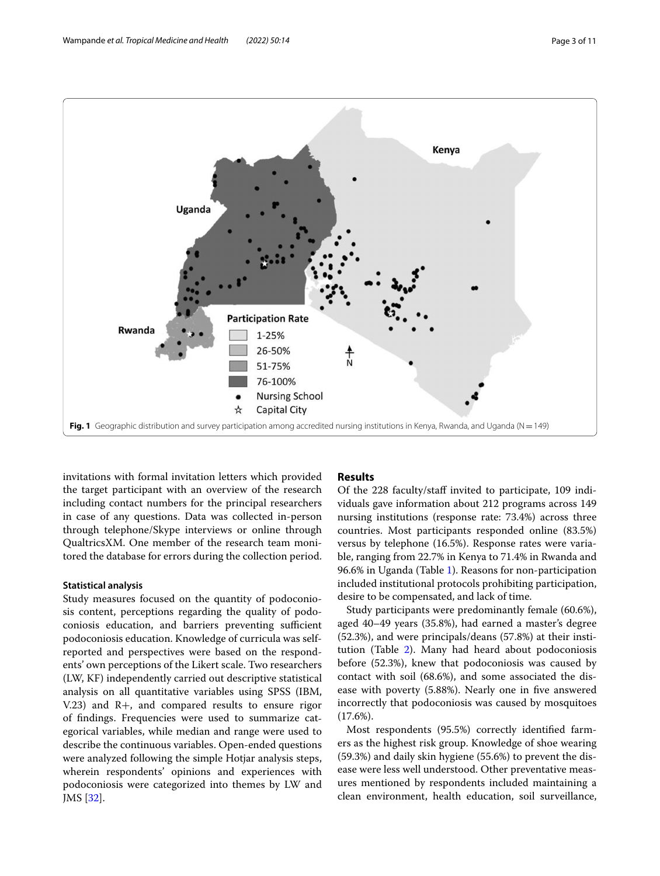

<span id="page-2-0"></span>invitations with formal invitation letters which provided the target participant with an overview of the research including contact numbers for the principal researchers in case of any questions. Data was collected in-person through telephone/Skype interviews or online through QualtricsXM. One member of the research team monitored the database for errors during the collection period.

## **Statistical analysis**

Study measures focused on the quantity of podoconiosis content, perceptions regarding the quality of podoconiosis education, and barriers preventing sufficient podoconiosis education. Knowledge of curricula was selfreported and perspectives were based on the respondents' own perceptions of the Likert scale. Two researchers (LW, KF) independently carried out descriptive statistical analysis on all quantitative variables using SPSS (IBM, V.23) and R+, and compared results to ensure rigor of fndings. Frequencies were used to summarize categorical variables, while median and range were used to describe the continuous variables. Open-ended questions were analyzed following the simple Hotjar analysis steps, wherein respondents' opinions and experiences with podoconiosis were categorized into themes by LW and JMS [[32](#page-9-26)].

## **Results**

Of the 228 faculty/staf invited to participate, 109 individuals gave information about 212 programs across 149 nursing institutions (response rate: 73.4%) across three countries. Most participants responded online (83.5%) versus by telephone (16.5%). Response rates were variable, ranging from 22.7% in Kenya to 71.4% in Rwanda and 96.6% in Uganda (Table [1](#page-3-0)). Reasons for non-participation included institutional protocols prohibiting participation, desire to be compensated, and lack of time.

Study participants were predominantly female (60.6%), aged 40–49 years (35.8%), had earned a master's degree (52.3%), and were principals/deans (57.8%) at their institution (Table [2\)](#page-4-0). Many had heard about podoconiosis before (52.3%), knew that podoconiosis was caused by contact with soil (68.6%), and some associated the disease with poverty (5.88%). Nearly one in fve answered incorrectly that podoconiosis was caused by mosquitoes (17.6%).

Most respondents (95.5%) correctly identifed farmers as the highest risk group. Knowledge of shoe wearing (59.3%) and daily skin hygiene (55.6%) to prevent the disease were less well understood. Other preventative measures mentioned by respondents included maintaining a clean environment, health education, soil surveillance,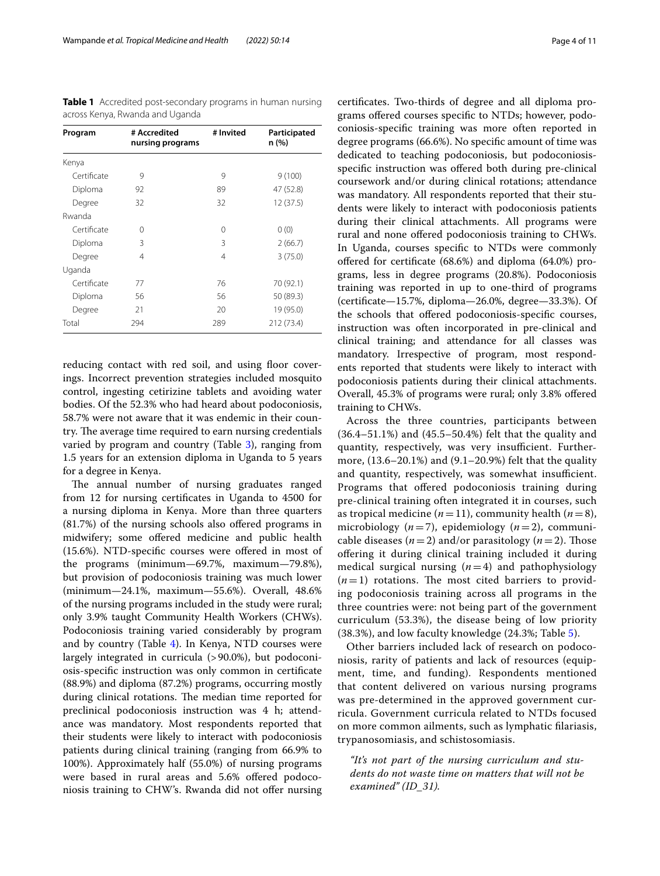<span id="page-3-0"></span>**Table 1** Accredited post-secondary programs in human nursing across Kenya, Rwanda and Uganda

| Program     | # Accredited<br>nursing programs | # Invited | Participated<br>n (%) |
|-------------|----------------------------------|-----------|-----------------------|
| Kenya       |                                  |           |                       |
| Certificate | 9                                | 9         | 9(100)                |
| Diploma     | 92                               | 89        | 47 (52.8)             |
| Degree      | 32                               | 32        | 12 (37.5)             |
| Rwanda      |                                  |           |                       |
| Certificate | 0                                | $\Omega$  | 0(0)                  |
| Diploma     | 3                                | 3         | 2(66.7)               |
| Degree      | 4                                | 4         | 3(75.0)               |
| Uganda      |                                  |           |                       |
| Certificate | 77                               | 76        | 70 (92.1)             |
| Diploma     | 56                               | 56        | 50 (89.3)             |
| Degree      | 21                               | 20        | 19 (95.0)             |
| Total       | 294                              | 289       | 212 (73.4)            |

reducing contact with red soil, and using floor coverings. Incorrect prevention strategies included mosquito control, ingesting cetirizine tablets and avoiding water bodies. Of the 52.3% who had heard about podoconiosis, 58.7% were not aware that it was endemic in their country. The average time required to earn nursing credentials varied by program and country (Table [3\)](#page-5-0), ranging from 1.5 years for an extension diploma in Uganda to 5 years for a degree in Kenya.

The annual number of nursing graduates ranged from 12 for nursing certifcates in Uganda to 4500 for a nursing diploma in Kenya. More than three quarters (81.7%) of the nursing schools also ofered programs in midwifery; some ofered medicine and public health (15.6%). NTD-specifc courses were ofered in most of the programs (minimum—69.7%, maximum—79.8%), but provision of podoconiosis training was much lower (minimum—24.1%, maximum—55.6%). Overall, 48.6% of the nursing programs included in the study were rural; only 3.9% taught Community Health Workers (CHWs). Podoconiosis training varied considerably by program and by country (Table [4\)](#page-6-0). In Kenya, NTD courses were largely integrated in curricula (>90.0%), but podoconiosis-specifc instruction was only common in certifcate (88.9%) and diploma (87.2%) programs, occurring mostly during clinical rotations. The median time reported for preclinical podoconiosis instruction was 4 h; attendance was mandatory. Most respondents reported that their students were likely to interact with podoconiosis patients during clinical training (ranging from 66.9% to 100%). Approximately half (55.0%) of nursing programs were based in rural areas and 5.6% offered podoconiosis training to CHW's. Rwanda did not ofer nursing

certifcates. Two-thirds of degree and all diploma programs ofered courses specifc to NTDs; however, podoconiosis-specifc training was more often reported in degree programs (66.6%). No specifc amount of time was dedicated to teaching podoconiosis, but podoconiosisspecifc instruction was ofered both during pre-clinical coursework and/or during clinical rotations; attendance was mandatory. All respondents reported that their students were likely to interact with podoconiosis patients during their clinical attachments. All programs were rural and none ofered podoconiosis training to CHWs. In Uganda, courses specifc to NTDs were commonly ofered for certifcate (68.6%) and diploma (64.0%) programs, less in degree programs (20.8%). Podoconiosis training was reported in up to one-third of programs (certifcate—15.7%, diploma—26.0%, degree—33.3%). Of the schools that ofered podoconiosis-specifc courses, instruction was often incorporated in pre-clinical and clinical training; and attendance for all classes was mandatory. Irrespective of program, most respondents reported that students were likely to interact with podoconiosis patients during their clinical attachments. Overall, 45.3% of programs were rural; only 3.8% ofered training to CHWs.

Across the three countries, participants between (36.4–51.1%) and (45.5–50.4%) felt that the quality and quantity, respectively, was very insufficient. Furthermore, (13.6–20.1%) and (9.1–20.9%) felt that the quality and quantity, respectively, was somewhat insufficient. Programs that offered podoconiosis training during pre-clinical training often integrated it in courses, such as tropical medicine  $(n=11)$ , community health  $(n=8)$ , microbiology (*n*=7), epidemiology (*n*=2), communicable diseases  $(n=2)$  and/or parasitology  $(n=2)$ . Those ofering it during clinical training included it during medical surgical nursing (*n*=4) and pathophysiology  $(n=1)$  rotations. The most cited barriers to providing podoconiosis training across all programs in the three countries were: not being part of the government curriculum (53.3%), the disease being of low priority (38.3%), and low faculty knowledge (24.3%; Table [5](#page-7-0)).

Other barriers included lack of research on podoconiosis, rarity of patients and lack of resources (equipment, time, and funding). Respondents mentioned that content delivered on various nursing programs was pre-determined in the approved government curricula. Government curricula related to NTDs focused on more common ailments, such as lymphatic flariasis, trypanosomiasis, and schistosomiasis.

*"It's not part of the nursing curriculum and students do not waste time on matters that will not be examined" (ID\_31).*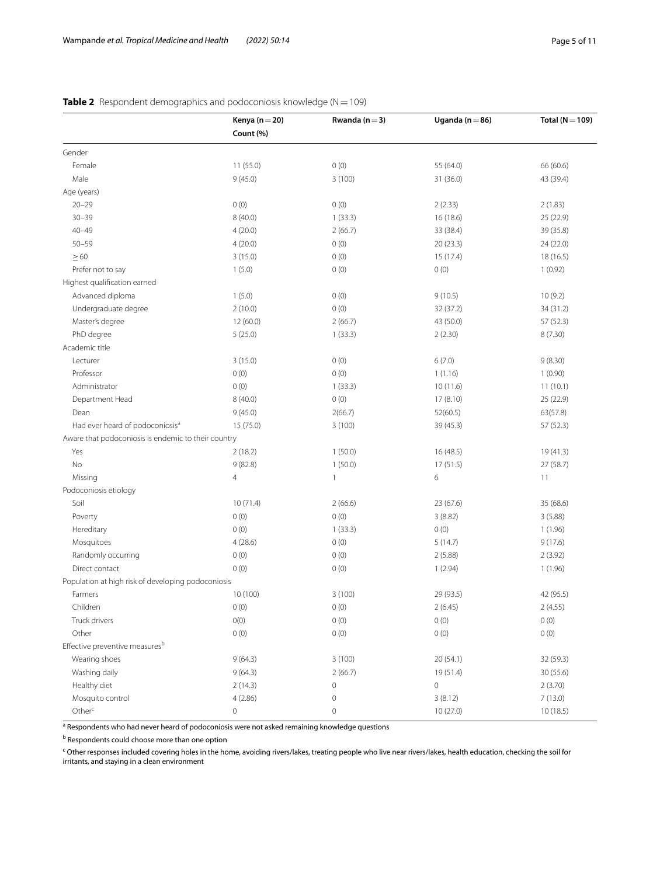|                                                     | Kenya (n $=$ 20)<br>Count (%) | Rwanda ( $n = 3$ )  | Uganda ( $n = 86$ ) | Total ( $N = 109$ ) |
|-----------------------------------------------------|-------------------------------|---------------------|---------------------|---------------------|
|                                                     |                               |                     |                     |                     |
| Gender                                              |                               |                     |                     |                     |
| Female                                              | 11(55.0)                      | 0(0)                | 55 (64.0)           | 66 (60.6)           |
| Male                                                | 9(45.0)                       | 3(100)              | 31 (36.0)           | 43 (39.4)           |
| Age (years)                                         |                               |                     |                     |                     |
| $20 - 29$                                           | 0(0)                          | 0(0)                | 2(2.33)             | 2(1.83)             |
| $30 - 39$                                           | 8(40.0)                       | 1(33.3)             | 16 (18.6)           | 25 (22.9)           |
| $40 - 49$                                           | 4(20.0)                       | 2(66.7)             | 33 (38.4)           | 39 (35.8)           |
| $50 - 59$                                           | 4(20.0)                       | 0(0)                | 20(23.3)            | 24 (22.0)           |
| $\geq 60$                                           | 3(15.0)                       | 0(0)                | 15 (17.4)           | 18 (16.5)           |
| Prefer not to say                                   | 1(5.0)                        | 0(0)                | 0(0)                | 1(0.92)             |
| Highest qualification earned                        |                               |                     |                     |                     |
| Advanced diploma                                    | 1(5.0)                        | 0(0)                | 9(10.5)             | 10(9.2)             |
| Undergraduate degree                                | 2(10.0)                       | 0(0)                | 32 (37.2)           | 34 (31.2)           |
| Master's degree                                     | 12 (60.0)                     | 2(66.7)             | 43 (50.0)           | 57 (52.3)           |
| PhD degree                                          | 5(25.0)                       | 1(33.3)             | 2(2.30)             | 8(7.30)             |
| Academic title                                      |                               |                     |                     |                     |
| Lecturer                                            | 3(15.0)                       | 0(0)                | 6(7.0)              | 9(8.30)             |
| Professor                                           | 0(0)                          | 0(0)                | 1(1.16)             | 1(0.90)             |
| Administrator                                       | 0(0)                          | 1(33.3)             | 10(11.6)            | 11(10.1)            |
| Department Head                                     | 8(40.0)                       | 0(0)                | 17(8.10)            | 25 (22.9)           |
| Dean                                                | 9(45.0)                       | 2(66.7)             | 52(60.5)            | 63(57.8)            |
| Had ever heard of podoconiosis <sup>a</sup>         | 15 (75.0)                     | 3(100)              | 39 (45.3)           | 57 (52.3)           |
| Aware that podoconiosis is endemic to their country |                               |                     |                     |                     |
| Yes                                                 | 2(18.2)                       | 1(50.0)             | 16 (48.5)           | 19 (41.3)           |
| No                                                  | 9(82.8)                       | 1(50.0)             | 17(51.5)            | 27 (58.7)           |
| Missing                                             | $\overline{4}$                | $\mathbf{1}$        | 6                   | 11                  |
| Podoconiosis etiology                               |                               |                     |                     |                     |
| Soil                                                | 10(71.4)                      | 2(66.6)             | 23 (67.6)           | 35 (68.6)           |
| Poverty                                             | 0(0)                          | 0(0)                | 3(8.82)             | 3(5.88)             |
| Hereditary                                          | 0(0)                          | 1(33.3)             | 0(0)                | 1(1.96)             |
| Mosquitoes                                          | 4(28.6)                       | 0(0)                | 5(14.7)             | 9(17.6)             |
| Randomly occurring                                  | 0(0)                          | 0(0)                | 2(5.88)             | 2(3.92)             |
| Direct contact                                      | 0(0)                          | 0(0)                | 1(2.94)             | 1(1.96)             |
| Population at high risk of developing podoconiosis  |                               |                     |                     |                     |
| Farmers                                             | 10 (100)                      | 3(100)              | 29 (93.5)           | 42 (95.5)           |
| Children                                            | 0(0)                          | 0(0)                | 2 (6.45)            | 2(4.55)             |
| Truck drivers                                       | ${\rm O}(0)$                  | 0(0)                | 0(0)                | 0(0)                |
| Other                                               | 0(0)                          | 0(0)                | 0(0)                | 0(0)                |
| Effective preventive measures <sup>b</sup>          |                               |                     |                     |                     |
| Wearing shoes                                       | 9(64.3)                       | 3(100)              | 20(54.1)            | 32 (59.3)           |
| Washing daily                                       | 9(64.3)                       | 2(66.7)             | 19 (51.4)           | 30 (55.6)           |
| Healthy diet                                        | 2(14.3)                       | $\mathsf{O}\xspace$ | $\mathbb O$         | 2(3.70)             |
| Mosquito control                                    | 4(2.86)                       | 0                   | 3(8.12)             | 7(13.0)             |
| Other <sup>c</sup>                                  | $\mathsf{O}\xspace$           | $\mathbb O$         | 10(27.0)            | 10(18.5)            |

## <span id="page-4-0"></span>**Table 2** Respondent demographics and podoconiosis knowledge (N=109)

<sup>a</sup> Respondents who had never heard of podoconiosis were not asked remaining knowledge questions

**b** Respondents could choose more than one option

<sup>c</sup> Other responses included covering holes in the home, avoiding rivers/lakes, treating people who live near rivers/lakes, health education, checking the soil for irritants, and staying in a clean environment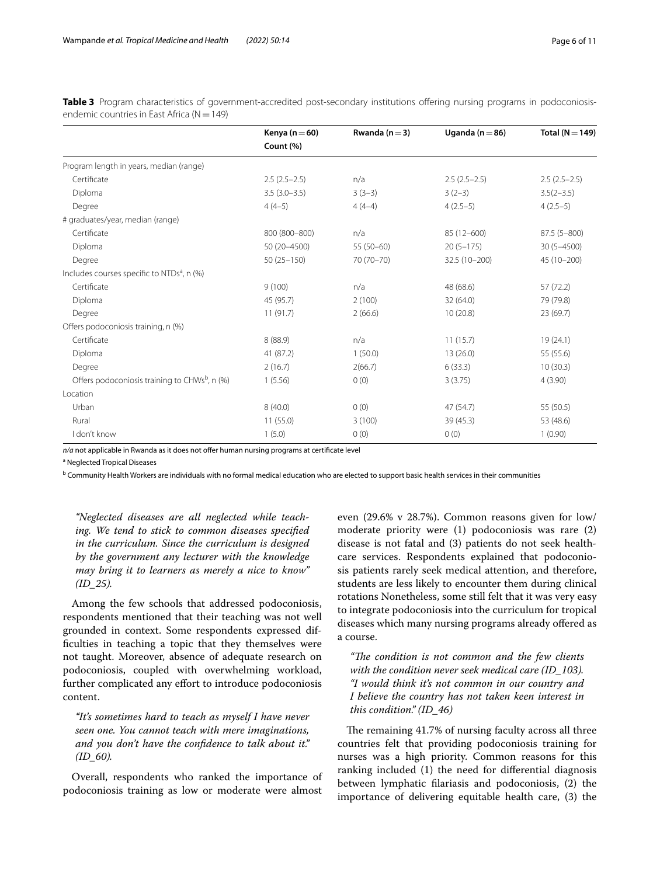<span id="page-5-0"></span>**Table 3** Program characteristics of government-accredited post-secondary institutions offering nursing programs in podoconiosisendemic countries in East Africa ( $N=149$ )

|                                                           | Kenya ( $n = 60$ ) | Rwanda $(n=3)$ | Uganda ( $n = 86$ ) | Total ( $N = 149$ ) |
|-----------------------------------------------------------|--------------------|----------------|---------------------|---------------------|
|                                                           | Count (%)          |                |                     |                     |
| Program length in years, median (range)                   |                    |                |                     |                     |
| Certificate                                               | $2.5(2.5-2.5)$     | n/a            | $2.5(2.5-2.5)$      | $2.5(2.5-2.5)$      |
| Diploma                                                   | $3.5(3.0-3.5)$     | $3(3-3)$       | $3(2-3)$            | $3.5(2-3.5)$        |
| Degree                                                    | $4(4-5)$           | $4(4-4)$       | $4(2.5-5)$          | $4(2.5-5)$          |
| # graduates/year, median (range)                          |                    |                |                     |                     |
| Certificate                                               | 800 (800-800)      | n/a            | 85 (12-600)         | $87.5(5 - 800)$     |
| Diploma                                                   | 50 (20-4500)       | $55(50-60)$    | $20(5 - 175)$       | $30(5 - 4500)$      |
| Degree                                                    | $50(25 - 150)$     | 70 (70-70)     | 32.5 (10-200)       | 45 (10-200)         |
| Includes courses specific to NTDs <sup>a</sup> , n (%)    |                    |                |                     |                     |
| Certificate                                               | 9(100)             | n/a            | 48 (68.6)           | 57(72.2)            |
| Diploma                                                   | 45 (95.7)          | 2(100)         | 32(64.0)            | 79 (79.8)           |
| Degree                                                    | 11(91.7)           | 2(66.6)        | 10(20.8)            | 23 (69.7)           |
| Offers podoconiosis training, n (%)                       |                    |                |                     |                     |
| Certificate                                               | 8(88.9)            | n/a            | 11(15.7)            | 19(24.1)            |
| Diploma                                                   | 41 (87.2)          | 1(50.0)        | 13(26.0)            | 55 (55.6)           |
| Degree                                                    | 2(16.7)            | 2(66.7)        | 6(33.3)             | 10(30.3)            |
| Offers podoconiosis training to CHWs <sup>b</sup> , n (%) | 1(5.56)            | 0(0)           | 3(3.75)             | 4(3.90)             |
| Location                                                  |                    |                |                     |                     |
| Urban                                                     | 8(40.0)            | 0(0)           | 47 (54.7)           | 55 (50.5)           |
| Rural                                                     | 11(55.0)           | 3(100)         | 39 (45.3)           | 53 (48.6)           |
| I don't know                                              | 1(5.0)             | 0(0)           | 0(0)                | 1(0.90)             |

*n/a* not applicable in Rwanda as it does not offer human nursing programs at certificate level

<sup>a</sup> Neglected Tropical Diseases

<sup>b</sup> Community Health Workers are individuals with no formal medical education who are elected to support basic health services in their communities

*"Neglected diseases are all neglected while teaching. We tend to stick to common diseases specifed in the curriculum. Since the curriculum is designed by the government any lecturer with the knowledge may bring it to learners as merely a nice to know" (ID\_25).*

Among the few schools that addressed podoconiosis, respondents mentioned that their teaching was not well grounded in context. Some respondents expressed diffculties in teaching a topic that they themselves were not taught. Moreover, absence of adequate research on podoconiosis, coupled with overwhelming workload, further complicated any efort to introduce podoconiosis content.

*"It's sometimes hard to teach as myself I have never seen one. You cannot teach with mere imaginations, and you don't have the confdence to talk about it." (ID\_60).*

Overall, respondents who ranked the importance of podoconiosis training as low or moderate were almost

even (29.6% v 28.7%). Common reasons given for low/ moderate priority were (1) podoconiosis was rare (2) disease is not fatal and (3) patients do not seek healthcare services. Respondents explained that podoconiosis patients rarely seek medical attention, and therefore, students are less likely to encounter them during clinical rotations Nonetheless, some still felt that it was very easy to integrate podoconiosis into the curriculum for tropical diseases which many nursing programs already ofered as a course.

"The condition is not common and the few clients *with the condition never seek medical care (ID\_103). "I would think it's not common in our country and I believe the country has not taken keen interest in this condition." (ID\_46)*

The remaining 41.7% of nursing faculty across all three countries felt that providing podoconiosis training for nurses was a high priority. Common reasons for this ranking included (1) the need for diferential diagnosis between lymphatic flariasis and podoconiosis, (2) the importance of delivering equitable health care, (3) the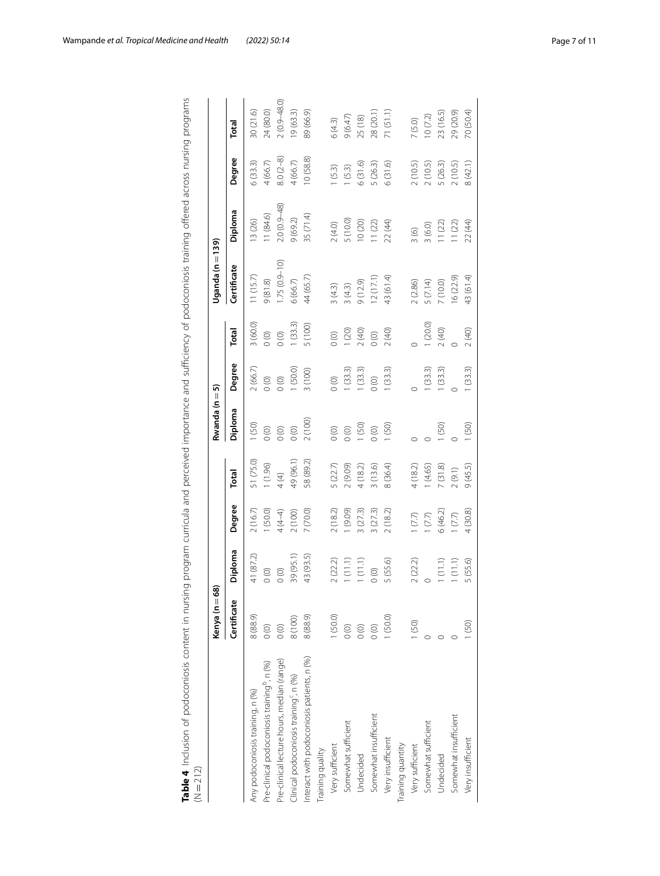|                                                         | Kenya (n = 6 | ಹ         |          |           | Rwanda (n = | ត       |         | Uganda (n =      | 139)            |            |                 |
|---------------------------------------------------------|--------------|-----------|----------|-----------|-------------|---------|---------|------------------|-----------------|------------|-----------------|
|                                                         | Certificate  | Diploma   | Degree   | Total     | Diploma     | Degree  | Total   | Certificate      | Diploma         | Degree     | Total           |
| Any podoconiosis training, n (%)                        | 8 (88.9)     | 41 (87.2) | 2(16.7)  | 51 (75.0) | (50)        | 2(66.7) | 3(60.0) | 11(15.7)         | 13 (26)         | 6(33.3)    | 30 (21.6)       |
| Pre-clinical podoconiosis training <sup>p</sup> , n (%) | $\circ$      | $\circ$   | (50.0)   | (1.96)    | $\circ$     | $\circ$ | $\circ$ | 9(81.8)          | 11(84.6)        | 4(66.7)    | 24 (80.0)       |
| Pre-clinical lecture hours, median (range)              | (0)          | $\circ$   | $4(4-4)$ | 4 (4)     | $\circ$     | $\circ$ | $\circ$ | $1.75(0.9 - 10)$ | $2.0(0.9 - 48)$ | $8.0(2-8)$ | $2(0.9 - 48.0)$ |
| Clinical podoconiosis training <sup>c</sup> , n (%)     | 8 (100)      | 39 (95.1) | (100)    | 49 (96.1) | $\circ$     | (50.0)  | 1(33.3) | 6(66.7)          | 9(69.2)         | 4(66.7)    | 19(63.3)        |
| nteract with podoconiosis patients, n (%)               | 8 (88.9)     | 43 (93.5) | 7 (70.0) | 58 (89.2) | 2 (100)     | 3 (100) | 5 (100) | 44 (65.7)        | 35 (71.4)       | 10(58.8)   | 89 (66.9)       |
| Training quality                                        |              |           |          |           |             |         |         |                  |                 |            |                 |
| Very sufficient                                         | 1(50.0)      | 2(22.2)   | 2(18.2)  | 5(22.7)   | $\circ$     | $\circ$ | (0)     | 3(4.3)           | 2(4.0)          | (5.3)      | 6(4.3)          |
| Somewhat sufficient                                     | $\circ$      | 1(11.1)   | (60.6)   | 2 (9.09)  | $\circ$     | 1(33.3) | (20)    | 3(4.3)           | 5 (10.0)        | 1(5.3)     | 9(6.47)         |
| Undecided                                               | $\circ$      | (11.1)    | (27.3)   | $+(18.2)$ | (50)        | (33.3)  | 2(40)   | 9(12.9)          | 10 (20)         | 6(31.6)    | 25 (18)         |
| Somewhat insufficient                                   | $\circ$      | $\circ$   | (27.3)   | (13.6)    | $\circ$     | $\circ$ | $\circ$ | 12(17.1)         | 11(22)          | 5 (26.3)   | 28 (20.1)       |
| Very insufficient                                       | 1(50.0)      | 5(55.6)   | 2(18.2)  | 8 (36.4)  | (50)        | (33.3)  | 2(40)   | 43 (61.4)        | 22 (44)         | 6(31.6)    | 71 (51.1        |
| <b>Training quantity</b>                                |              |           |          |           |             |         |         |                  |                 |            |                 |
| Very sufficient                                         | (50)         | 2(22.2)   | (7.7)    | 4 (18.2)  |             |         |         | 2(2.86)          | $\frac{3}{6}$   | 2(10.5)    | 7(5.0)          |
| Somewhat sufficient                                     |              |           | (7.7)    | (4.65)    |             | (33.3)  | (20.0)  | 5 (7.14)         | 3(6.0)          | 2(10.5)    | 10(7.2)         |
| Undecided                                               |              | (11.1)    | 6(46.2)  | 7(31.8)   | (50)        | 1(33.3) | 2(40)   | 7 (10.0)         | 11(22)          | 5 (26.3)   | 23 (16.5)       |
| Somewhat insufficient                                   |              | (11.1)    | (7.7)    | (9.1)     |             |         |         | 6(22.9)          | 11(22)          | 2(10.5)    | 29 (20.9)       |
| Very insufficient                                       | (50)         | 5(55.6)   | 4(30.8)  | 9(45.5)   | 1(50)       | (33.3)  | 2(40)   | 43 (61.4)        | 22 (44)         | 8(42.1)    | 70 (50.4)       |
|                                                         |              |           |          |           |             |         |         |                  |                 |            |                 |

<span id="page-6-0"></span>

| ؟<br>ک<br>)<br>)                  |         |
|-----------------------------------|---------|
| 5<br>١                            |         |
|                                   |         |
| )<br>5<br>i<br>.                  |         |
| $\frac{1}{2}$<br>.<br>מי המינה ה  |         |
| j                                 |         |
| 5                                 |         |
| j                                 |         |
| ξ                                 |         |
| こうけい<br>)<br>)                    |         |
| ì                                 |         |
|                                   |         |
| voincie training                  |         |
| ,                                 |         |
|                                   |         |
| ١                                 |         |
| こくへへく<br>١<br>Ĵ                   |         |
|                                   |         |
| $22 - 12$<br>$\overline{ }$       |         |
| $\frac{1}{2}$                     |         |
| l<br>J                            |         |
| ミニュー<br>$\frac{1}{2}$             |         |
| S                                 |         |
| i<br>ζ<br>۱                       |         |
| s<br>C                            |         |
| 5<br>)<br>)<br>1                  |         |
| ;<br>}                            |         |
|                                   |         |
|                                   |         |
| ١                                 |         |
| parcolum and importance<br>J<br>ì |         |
| j<br>J                            |         |
| j<br>2                            |         |
| $\frac{1}{2}$                     |         |
| ١                                 |         |
| ;                                 |         |
| )<br>)<br>:                       |         |
| )<br>)                            |         |
| てんらい ここりことこり ろうこうろんそう             |         |
|                                   |         |
| )<br>)<br>)                       |         |
| Ż                                 |         |
| $\frac{5}{1}$<br>j                |         |
| ś                                 |         |
| $\overline{c}$<br>Ξ<br>ć          |         |
|                                   |         |
| ١<br>ׇ֚֘֡<br>Ì                    |         |
| l                                 |         |
|                                   |         |
| l                                 |         |
| ׇ֚֓֡                              |         |
| l                                 |         |
|                                   |         |
|                                   |         |
|                                   |         |
|                                   |         |
| ֬<br>١                            |         |
|                                   |         |
|                                   | ¢<br>Į  |
| ı                                 | Į<br>ΙÍ |
|                                   |         |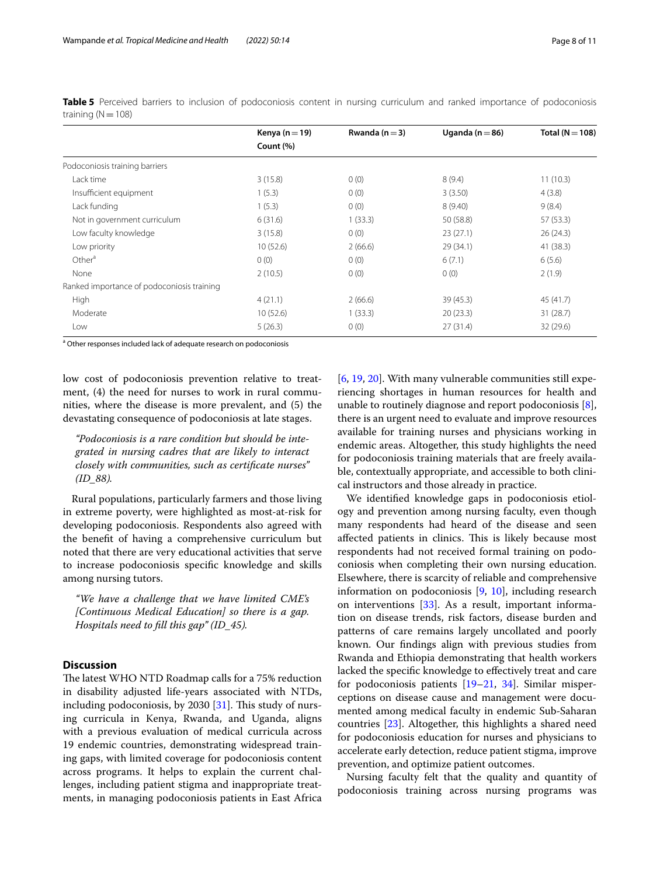<span id="page-7-0"></span>**Table 5** Perceived barriers to inclusion of podoconiosis content in nursing curriculum and ranked importance of podoconiosis training  $(N=108)$ 

|                                            | Kenya ( $n = 19$ ) | Rwanda ( $n = 3$ ) | Uganda (n $=$ 86) | Total ( $N = 108$ ) |  |
|--------------------------------------------|--------------------|--------------------|-------------------|---------------------|--|
|                                            | Count (%)          |                    |                   |                     |  |
| Podoconiosis training barriers             |                    |                    |                   |                     |  |
| Lack time                                  | 3(15.8)            | 0(0)               | 8(9.4)            | 11(10.3)            |  |
| Insufficient equipment                     | 1(5.3)             | 0(0)               | 3(3.50)           | 4(3.8)              |  |
| Lack funding                               | 1(5.3)             | 0(0)               | 8(9.40)           | 9(8.4)              |  |
| Not in government curriculum               | 6(31.6)            | 1(33.3)            | 50 (58.8)         | 57 (53.3)           |  |
| Low faculty knowledge                      | 3(15.8)            | 0(0)               | 23(27.1)          | 26(24.3)            |  |
| Low priority                               | 10(52.6)           | 2(66.6)            | 29 (34.1)         | 41 (38.3)           |  |
| Other <sup>a</sup>                         | 0(0)               | 0(0)               | 6(7.1)            | 6(5.6)              |  |
| None                                       | 2(10.5)            | 0(0)               | 0(0)              | 2(1.9)              |  |
| Ranked importance of podoconiosis training |                    |                    |                   |                     |  |
| High                                       | 4(21.1)            | 2(66.6)            | 39 (45.3)         | 45 (41.7)           |  |
| Moderate                                   | 10(52.6)           | 1(33.3)            | 20(23.3)          | 31(28.7)            |  |
| Low                                        | 5(26.3)            | 0(0)               | 27(31.4)          | 32 (29.6)           |  |

<sup>a</sup> Other responses included lack of adequate research on podoconiosis

low cost of podoconiosis prevention relative to treatment, (4) the need for nurses to work in rural communities, where the disease is more prevalent, and (5) the devastating consequence of podoconiosis at late stages.

*"Podoconiosis is a rare condition but should be integrated in nursing cadres that are likely to interact closely with communities, such as certifcate nurses" (ID\_88).*

Rural populations, particularly farmers and those living in extreme poverty, were highlighted as most-at-risk for developing podoconiosis. Respondents also agreed with the beneft of having a comprehensive curriculum but noted that there are very educational activities that serve to increase podoconiosis specifc knowledge and skills among nursing tutors.

*"We have a challenge that we have limited CME's [Continuous Medical Education] so there is a gap. Hospitals need to fll this gap" (ID\_45).*

## **Discussion**

The latest WHO NTD Roadmap calls for a 75% reduction in disability adjusted life-years associated with NTDs, including podoconiosis, by 2030  $[31]$ . This study of nursing curricula in Kenya, Rwanda, and Uganda, aligns with a previous evaluation of medical curricula across 19 endemic countries, demonstrating widespread training gaps, with limited coverage for podoconiosis content across programs. It helps to explain the current challenges, including patient stigma and inappropriate treatments, in managing podoconiosis patients in East Africa

[[6,](#page-9-5) [19](#page-9-15), [20\]](#page-9-16). With many vulnerable communities still experiencing shortages in human resources for health and unable to routinely diagnose and report podoconiosis [\[8](#page-9-7)], there is an urgent need to evaluate and improve resources available for training nurses and physicians working in endemic areas. Altogether, this study highlights the need for podoconiosis training materials that are freely available, contextually appropriate, and accessible to both clinical instructors and those already in practice.

We identifed knowledge gaps in podoconiosis etiology and prevention among nursing faculty, even though many respondents had heard of the disease and seen affected patients in clinics. This is likely because most respondents had not received formal training on podoconiosis when completing their own nursing education. Elsewhere, there is scarcity of reliable and comprehensive information on podoconiosis [[9](#page-9-8), [10](#page-9-28)], including research on interventions [[33\]](#page-9-29). As a result, important information on disease trends, risk factors, disease burden and patterns of care remains largely uncollated and poorly known. Our fndings align with previous studies from Rwanda and Ethiopia demonstrating that health workers lacked the specifc knowledge to efectively treat and care for podoconiosis patients [[19](#page-9-15)[–21](#page-9-17), [34\]](#page-9-30). Similar misperceptions on disease cause and management were documented among medical faculty in endemic Sub-Saharan countries [[23](#page-9-19)]. Altogether, this highlights a shared need for podoconiosis education for nurses and physicians to accelerate early detection, reduce patient stigma, improve prevention, and optimize patient outcomes.

Nursing faculty felt that the quality and quantity of podoconiosis training across nursing programs was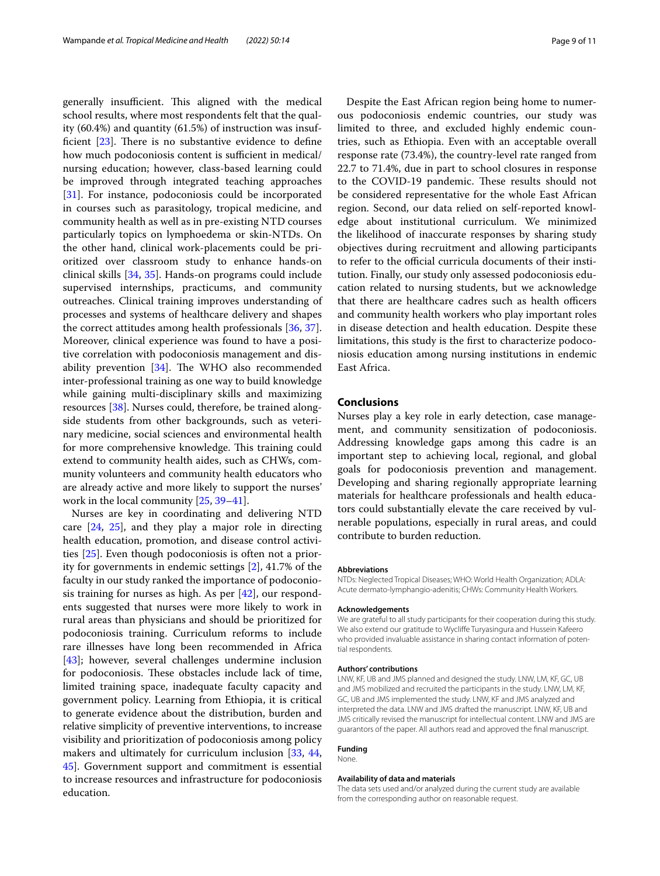generally insufficient. This aligned with the medical school results, where most respondents felt that the quality (60.4%) and quantity (61.5%) of instruction was insufficient  $[23]$  $[23]$ . There is no substantive evidence to define how much podoconiosis content is sufficient in medical/ nursing education; however, class-based learning could be improved through integrated teaching approaches [[31\]](#page-9-27). For instance, podoconiosis could be incorporated in courses such as parasitology, tropical medicine, and community health as well as in pre-existing NTD courses particularly topics on lymphoedema or skin-NTDs. On the other hand, clinical work-placements could be prioritized over classroom study to enhance hands-on clinical skills [\[34](#page-9-30), [35](#page-9-31)]. Hands-on programs could include supervised internships, practicums, and community outreaches. Clinical training improves understanding of processes and systems of healthcare delivery and shapes the correct attitudes among health professionals [[36](#page-9-32), [37](#page-9-33)]. Moreover, clinical experience was found to have a positive correlation with podoconiosis management and disability prevention  $[34]$  $[34]$ . The WHO also recommended inter-professional training as one way to build knowledge while gaining multi-disciplinary skills and maximizing resources [\[38](#page-10-0)]. Nurses could, therefore, be trained alongside students from other backgrounds, such as veterinary medicine, social sciences and environmental health for more comprehensive knowledge. This training could extend to community health aides, such as CHWs, community volunteers and community health educators who are already active and more likely to support the nurses' work in the local community [[25](#page-9-21), [39–](#page-10-1)[41\]](#page-10-2).

Nurses are key in coordinating and delivering NTD care [[24,](#page-9-20) [25](#page-9-21)], and they play a major role in directing health education, promotion, and disease control activities [\[25](#page-9-21)]. Even though podoconiosis is often not a priority for governments in endemic settings [[2\]](#page-9-1), 41.7% of the faculty in our study ranked the importance of podoconiosis training for nurses as high. As per [\[42](#page-10-3)], our respondents suggested that nurses were more likely to work in rural areas than physicians and should be prioritized for podoconiosis training. Curriculum reforms to include rare illnesses have long been recommended in Africa [[43\]](#page-10-4); however, several challenges undermine inclusion for podoconiosis. These obstacles include lack of time, limited training space, inadequate faculty capacity and government policy. Learning from Ethiopia, it is critical to generate evidence about the distribution, burden and relative simplicity of preventive interventions, to increase visibility and prioritization of podoconiosis among policy makers and ultimately for curriculum inclusion [[33,](#page-9-29) [44](#page-10-5), [45\]](#page-10-6). Government support and commitment is essential to increase resources and infrastructure for podoconiosis education.

Despite the East African region being home to numerous podoconiosis endemic countries, our study was limited to three, and excluded highly endemic countries, such as Ethiopia. Even with an acceptable overall response rate (73.4%), the country-level rate ranged from 22.7 to 71.4%, due in part to school closures in response to the COVID-19 pandemic. These results should not be considered representative for the whole East African region. Second, our data relied on self-reported knowledge about institutional curriculum. We minimized the likelihood of inaccurate responses by sharing study objectives during recruitment and allowing participants to refer to the official curricula documents of their institution. Finally, our study only assessed podoconiosis education related to nursing students, but we acknowledge that there are healthcare cadres such as health officers and community health workers who play important roles in disease detection and health education. Despite these limitations, this study is the frst to characterize podoconiosis education among nursing institutions in endemic East Africa.

#### **Conclusions**

Nurses play a key role in early detection, case management, and community sensitization of podoconiosis. Addressing knowledge gaps among this cadre is an important step to achieving local, regional, and global goals for podoconiosis prevention and management. Developing and sharing regionally appropriate learning materials for healthcare professionals and health educators could substantially elevate the care received by vulnerable populations, especially in rural areas, and could contribute to burden reduction.

#### **Abbreviations**

NTDs: Neglected Tropical Diseases; WHO: World Health Organization; ADLA: Acute dermato-lymphangio-adenitis; CHWs: Community Health Workers.

#### **Acknowledgements**

We are grateful to all study participants for their cooperation during this study. We also extend our gratitude to Wyclife Turyasingura and Hussein Kafeero who provided invaluable assistance in sharing contact information of potential respondents.

#### **Authors' contributions**

LNW, KF, UB and JMS planned and designed the study. LNW, LM, KF, GC, UB and JMS mobilized and recruited the participants in the study. LNW, LM, KF, GC, UB and JMS implemented the study. LNW, KF and JMS analyzed and interpreted the data. LNW and JMS drafted the manuscript. LNW, KF, UB and JMS critically revised the manuscript for intellectual content. LNW and JMS are guarantors of the paper. All authors read and approved the fnal manuscript.

#### **Funding** None.

**Availability of data and materials** The data sets used and/or analyzed during the current study are available from the corresponding author on reasonable request.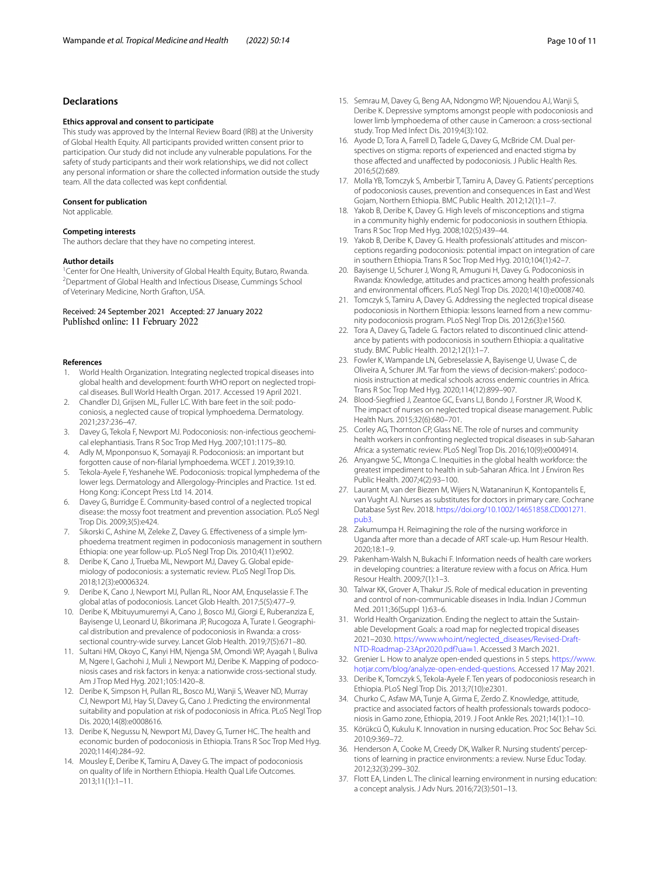### **Declarations**

#### **Ethics approval and consent to participate**

This study was approved by the Internal Review Board (IRB) at the University of Global Health Equity. All participants provided written consent prior to participation. Our study did not include any vulnerable populations. For the safety of study participants and their work relationships, we did not collect any personal information or share the collected information outside the study team. All the data collected was kept confdential.

#### **Consent for publication**

Not applicable.

#### **Competing interests**

The authors declare that they have no competing interest.

#### **Author details**

<sup>1</sup> Center for One Health, University of Global Health Equity, Butaro, Rwanda.<br><sup>2</sup> Denartment of Global Health and Infectious Disease *Cummings Schoo*l Department of Global Health and Infectious Disease, Cummings School of Veterinary Medicine, North Grafton, USA.

Received: 24 September 2021 Accepted: 27 January 2022 Published online: 11 February 2022

#### **References**

- <span id="page-9-0"></span>1. World Health Organization. Integrating neglected tropical diseases into global health and development: fourth WHO report on neglected tropical diseases. Bull World Health Organ. 2017. Accessed 19 April 2021.
- <span id="page-9-1"></span>2. Chandler DJ, Grijsen ML, Fuller LC. With bare feet in the soil: podoconiosis, a neglected cause of tropical lymphoedema. Dermatology. 2021;237:236–47.
- <span id="page-9-2"></span>3. Davey G, Tekola F, Newport MJ. Podoconiosis: non-infectious geochemical elephantiasis. Trans R Soc Trop Med Hyg. 2007;101:1175–80.
- <span id="page-9-3"></span>Adly M, Mponponsuo K, Somayaji R. Podoconiosis: an important but forgotten cause of non-flarial lymphoedema. WCET J. 2019;39:10.
- <span id="page-9-4"></span>5. Tekola-Ayele F, Yeshanehe WE. Podoconiosis: tropical lymphedema of the lower legs. Dermatology and Allergology-Principles and Practice. 1st ed. Hong Kong: iConcept Press Ltd 14. 2014.
- <span id="page-9-5"></span>6. Davey G, Burridge E. Community-based control of a neglected tropical disease: the mossy foot treatment and prevention association. PLoS Negl Trop Dis. 2009;3(5):e424.
- <span id="page-9-6"></span>7. Sikorski C, Ashine M, Zeleke Z, Davey G. Efectiveness of a simple lymphoedema treatment regimen in podoconiosis management in southern Ethiopia: one year follow-up. PLoS Negl Trop Dis. 2010;4(11):e902.
- <span id="page-9-7"></span>8. Deribe K, Cano J, Trueba ML, Newport MJ, Davey G. Global epidemiology of podoconiosis: a systematic review. PLoS Negl Trop Dis. 2018;12(3):e0006324.
- <span id="page-9-8"></span>9. Deribe K, Cano J, Newport MJ, Pullan RL, Noor AM, Enquselassie F. The global atlas of podoconiosis. Lancet Glob Health. 2017;5(5):477–9.
- <span id="page-9-28"></span>10. Deribe K, Mbituyumuremyi A, Cano J, Bosco MJ, Giorgi E, Ruberanziza E, Bayisenge U, Leonard U, Bikorimana JP, Rucogoza A, Turate I. Geographical distribution and prevalence of podoconiosis in Rwanda: a crosssectional country-wide survey. Lancet Glob Health. 2019;7(5):671–80.
- <span id="page-9-9"></span>11. Sultani HM, Okoyo C, Kanyi HM, Njenga SM, Omondi WP, Ayagah I, Buliva M, Ngere I, Gachohi J, Muli J, Newport MJ, Deribe K. Mapping of podoconiosis cases and risk factors in kenya: a nationwide cross-sectional study. Am J Trop Med Hyg. 2021;105:1420–8.
- <span id="page-9-10"></span>12. Deribe K, Simpson H, Pullan RL, Bosco MJ, Wanji S, Weaver ND, Murray CJ, Newport MJ, Hay SI, Davey G, Cano J. Predicting the environmental suitability and population at risk of podoconiosis in Africa. PLoS Negl Trop Dis. 2020;14(8):e0008616.
- <span id="page-9-11"></span>13. Deribe K, Negussu N, Newport MJ, Davey G, Turner HC. The health and economic burden of podoconiosis in Ethiopia. Trans R Soc Trop Med Hyg. 2020;114(4):284–92.
- 14. Mousley E, Deribe K, Tamiru A, Davey G. The impact of podoconiosis on quality of life in Northern Ethiopia. Health Qual Life Outcomes. 2013;11(1):1–11.
- <span id="page-9-12"></span>15. Semrau M, Davey G, Beng AA, Ndongmo WP, Njouendou AJ, Wanji S, Deribe K. Depressive symptoms amongst people with podoconiosis and lower limb lymphoedema of other cause in Cameroon: a cross-sectional study. Trop Med Infect Dis. 2019;4(3):102.
- <span id="page-9-13"></span>16. Ayode D, Tora A, Farrell D, Tadele G, Davey G, McBride CM. Dual perspectives on stigma: reports of experienced and enacted stigma by those afected and unafected by podoconiosis. J Public Health Res. 2016;5(2):689.
- 17. Molla YB, Tomczyk S, Amberbir T, Tamiru A, Davey G. Patients' perceptions of podoconiosis causes, prevention and consequences in East and West Gojam, Northern Ethiopia. BMC Public Health. 2012;12(1):1–7.
- <span id="page-9-14"></span>18. Yakob B, Deribe K, Davey G. High levels of misconceptions and stigma in a community highly endemic for podoconiosis in southern Ethiopia. Trans R Soc Trop Med Hyg. 2008;102(5):439–44.
- <span id="page-9-15"></span>19. Yakob B, Deribe K, Davey G. Health professionals' attitudes and misconceptions regarding podoconiosis: potential impact on integration of care in southern Ethiopia. Trans R Soc Trop Med Hyg. 2010;104(1):42–7.
- <span id="page-9-16"></span>20. Bayisenge U, Schurer J, Wong R, Amuguni H, Davey G. Podoconiosis in Rwanda: Knowledge, attitudes and practices among health professionals and environmental officers. PLoS Negl Trop Dis. 2020;14(10):e0008740.
- <span id="page-9-17"></span>21. Tomczyk S, Tamiru A, Davey G. Addressing the neglected tropical disease podoconiosis in Northern Ethiopia: lessons learned from a new community podoconiosis program. PLoS Negl Trop Dis. 2012;6(3):e1560.
- <span id="page-9-18"></span>22. Tora A, Davey G, Tadele G. Factors related to discontinued clinic attendance by patients with podoconiosis in southern Ethiopia: a qualitative study. BMC Public Health. 2012;12(1):1–7.
- <span id="page-9-19"></span>23. Fowler K, Wampande LN, Gebreselassie A, Bayisenge U, Uwase C, de Oliveira A, Schurer JM. 'Far from the views of decision-makers': podoconiosis instruction at medical schools across endemic countries in Africa. Trans R Soc Trop Med Hyg. 2020;114(12):899–907.
- <span id="page-9-20"></span>24. Blood-Siegfried J, Zeantoe GC, Evans LJ, Bondo J, Forstner JR, Wood K. The impact of nurses on neglected tropical disease management. Public Health Nurs. 2015;32(6):680–701.
- <span id="page-9-21"></span>25. Corley AG, Thornton CP, Glass NE. The role of nurses and community health workers in confronting neglected tropical diseases in sub-Saharan Africa: a systematic review. PLoS Negl Trop Dis. 2016;10(9):e0004914.
- <span id="page-9-22"></span>26. Anyangwe SC, Mtonga C. Inequities in the global health workforce: the greatest impediment to health in sub-Saharan Africa. Int J Environ Res Public Health. 2007;4(2):93–100.
- 27. Laurant M, van der Biezen M, Wijers N, Watananirun K, Kontopantelis E, van Vught AJ. Nurses as substitutes for doctors in primary care. Cochrane Database Syst Rev. 2018. [https://doi.org/10.1002/14651858.CD001271.](https://doi.org/10.1002/14651858.CD001271.pub3) [pub3.](https://doi.org/10.1002/14651858.CD001271.pub3)
- <span id="page-9-23"></span>28. Zakumumpa H. Reimagining the role of the nursing workforce in Uganda after more than a decade of ART scale-up. Hum Resour Health. 2020;18:1–9.
- <span id="page-9-24"></span>29. Pakenham-Walsh N, Bukachi F. Information needs of health care workers in developing countries: a literature review with a focus on Africa. Hum Resour Health. 2009;7(1):1–3.
- <span id="page-9-25"></span>30. Talwar KK, Grover A, Thakur JS. Role of medical education in preventing and control of non-communicable diseases in India. Indian J Commun Med. 2011;36(Suppl 1):63–6.
- <span id="page-9-27"></span>31. World Health Organization. Ending the neglect to attain the Sustainable Development Goals: a road map for neglected tropical diseases 2021–2030. [https://www.who.int/neglected\\_diseases/Revised-Draft-](https://www.who.int/neglected_diseases/Revised-Draft-NTD-Roadmap-23Apr2020.pdf?ua=1)[NTD-Roadmap-23Apr2020.pdf?ua](https://www.who.int/neglected_diseases/Revised-Draft-NTD-Roadmap-23Apr2020.pdf?ua=1)=1. Accessed 3 March 2021.
- <span id="page-9-26"></span>32. Grenier L. How to analyze open-ended questions in 5 steps. [https://www.](https://www.hotjar.com/blog/analyze-open-ended-questions) [hotjar.com/blog/analyze-open-ended-questions.](https://www.hotjar.com/blog/analyze-open-ended-questions) Accessed 17 May 2021.
- <span id="page-9-29"></span>33. Deribe K, Tomczyk S, Tekola-Ayele F. Ten years of podoconiosis research in Ethiopia. PLoS Negl Trop Dis. 2013;7(10):e2301.
- <span id="page-9-30"></span>34. Churko C, Asfaw MA, Tunje A, Girma E, Zerdo Z. Knowledge, attitude, practice and associated factors of health professionals towards podoconiosis in Gamo zone, Ethiopia, 2019. J Foot Ankle Res. 2021;14(1):1–10.
- <span id="page-9-31"></span>35. Körükcü Ö, Kukulu K. Innovation in nursing education. Proc Soc Behav Sci. 2010;9:369–72.
- <span id="page-9-32"></span>36. Henderson A, Cooke M, Creedy DK, Walker R. Nursing students' perceptions of learning in practice environments: a review. Nurse Educ Today. 2012;32(3):299–302.
- <span id="page-9-33"></span>37. Flott EA, Linden L. The clinical learning environment in nursing education: a concept analysis. J Adv Nurs. 2016;72(3):501–13.